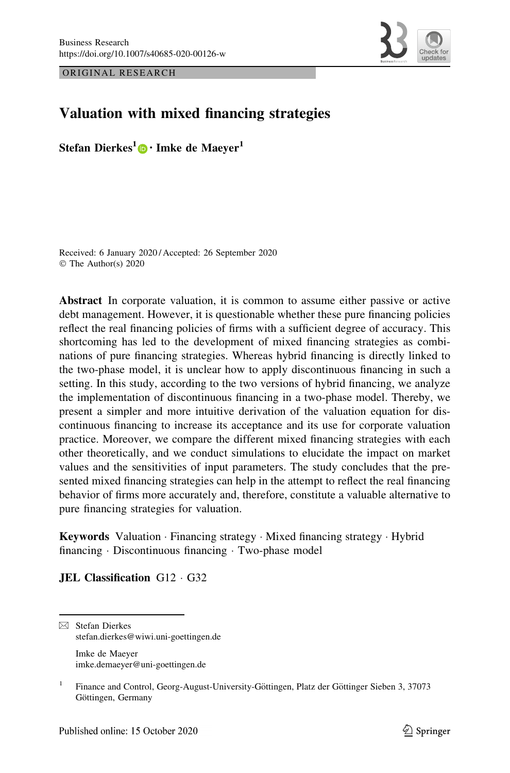ORIGINAL RESEARCH



# Valuation with mixed financing strategies

Stefan Dierkes<sup>1</sup> • Imke de Maeyer<sup>1</sup>

Received: 6 January 2020 / Accepted: 26 September 2020 © The Author(s) 2020

Abstract In corporate valuation, it is common to assume either passive or active debt management. However, it is questionable whether these pure financing policies reflect the real financing policies of firms with a sufficient degree of accuracy. This shortcoming has led to the development of mixed financing strategies as combinations of pure financing strategies. Whereas hybrid financing is directly linked to the two-phase model, it is unclear how to apply discontinuous financing in such a setting. In this study, according to the two versions of hybrid financing, we analyze the implementation of discontinuous financing in a two-phase model. Thereby, we present a simpler and more intuitive derivation of the valuation equation for discontinuous financing to increase its acceptance and its use for corporate valuation practice. Moreover, we compare the different mixed financing strategies with each other theoretically, and we conduct simulations to elucidate the impact on market values and the sensitivities of input parameters. The study concludes that the presented mixed financing strategies can help in the attempt to reflect the real financing behavior of firms more accurately and, therefore, constitute a valuable alternative to pure financing strategies for valuation.

Keywords Valuation · Financing strategy · Mixed financing strategy · Hybrid financing - Discontinuous financing - Two-phase model

JEL Classification G12 - G32

 $\boxtimes$  Stefan Dierkes stefan.dierkes@wiwi.uni-goettingen.de Imke de Maeyer imke.demaeyer@uni-goettingen.de

<sup>&</sup>lt;sup>1</sup> Finance and Control, Georg-August-University-Göttingen, Platz der Göttinger Sieben 3, 37073 Göttingen, Germany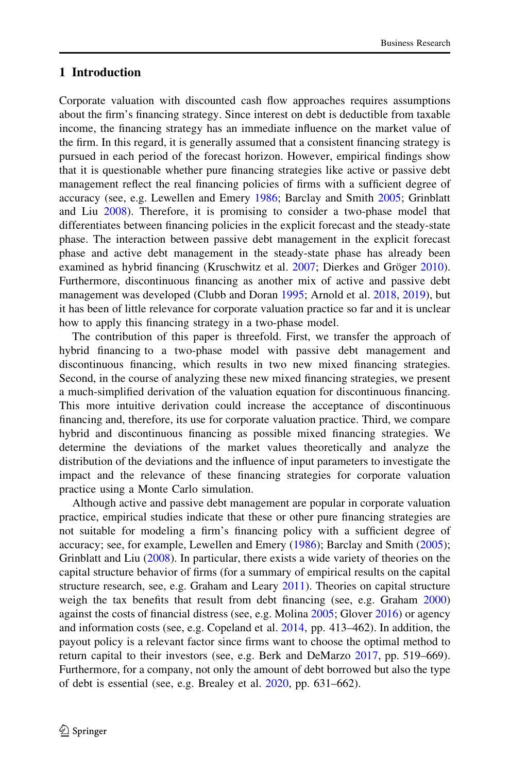# 1 Introduction

Corporate valuation with discounted cash flow approaches requires assumptions about the firm's financing strategy. Since interest on debt is deductible from taxable income, the financing strategy has an immediate influence on the market value of the firm. In this regard, it is generally assumed that a consistent financing strategy is pursued in each period of the forecast horizon. However, empirical findings show that it is questionable whether pure financing strategies like active or passive debt management reflect the real financing policies of firms with a sufficient degree of accuracy (see, e.g. Lewellen and Emery [1986](#page-24-0); Barclay and Smith [2005;](#page-23-0) Grinblatt and Liu [2008\)](#page-23-0). Therefore, it is promising to consider a two-phase model that differentiates between financing policies in the explicit forecast and the steady-state phase. The interaction between passive debt management in the explicit forecast phase and active debt management in the steady-state phase has already been examined as hybrid financing (Kruschwitz et al. [2007](#page-24-0); Dierkes and Gröger [2010\)](#page-23-0). Furthermore, discontinuous financing as another mix of active and passive debt management was developed (Clubb and Doran [1995](#page-23-0); Arnold et al. [2018,](#page-23-0) [2019](#page-23-0)), but it has been of little relevance for corporate valuation practice so far and it is unclear how to apply this financing strategy in a two-phase model.

The contribution of this paper is threefold. First, we transfer the approach of hybrid financing to a two-phase model with passive debt management and discontinuous financing, which results in two new mixed financing strategies. Second, in the course of analyzing these new mixed financing strategies, we present a much-simplified derivation of the valuation equation for discontinuous financing. This more intuitive derivation could increase the acceptance of discontinuous financing and, therefore, its use for corporate valuation practice. Third, we compare hybrid and discontinuous financing as possible mixed financing strategies. We determine the deviations of the market values theoretically and analyze the distribution of the deviations and the influence of input parameters to investigate the impact and the relevance of these financing strategies for corporate valuation practice using a Monte Carlo simulation.

Although active and passive debt management are popular in corporate valuation practice, empirical studies indicate that these or other pure financing strategies are not suitable for modeling a firm's financing policy with a sufficient degree of accuracy; see, for example, Lewellen and Emery ([1986\)](#page-24-0); Barclay and Smith [\(2005](#page-23-0)); Grinblatt and Liu ([2008\)](#page-23-0). In particular, there exists a wide variety of theories on the capital structure behavior of firms (for a summary of empirical results on the capital structure research, see, e.g. Graham and Leary [2011](#page-23-0)). Theories on capital structure weigh the tax benefits that result from debt financing (see, e.g. Graham [2000](#page-23-0)) against the costs of financial distress (see, e.g. Molina [2005](#page-24-0); Glover [2016\)](#page-23-0) or agency and information costs (see, e.g. Copeland et al. [2014](#page-23-0), pp. 413–462). In addition, the payout policy is a relevant factor since firms want to choose the optimal method to return capital to their investors (see, e.g. Berk and DeMarzo [2017](#page-23-0), pp. 519–669). Furthermore, for a company, not only the amount of debt borrowed but also the type of debt is essential (see, e.g. Brealey et al. [2020,](#page-23-0) pp. 631–662).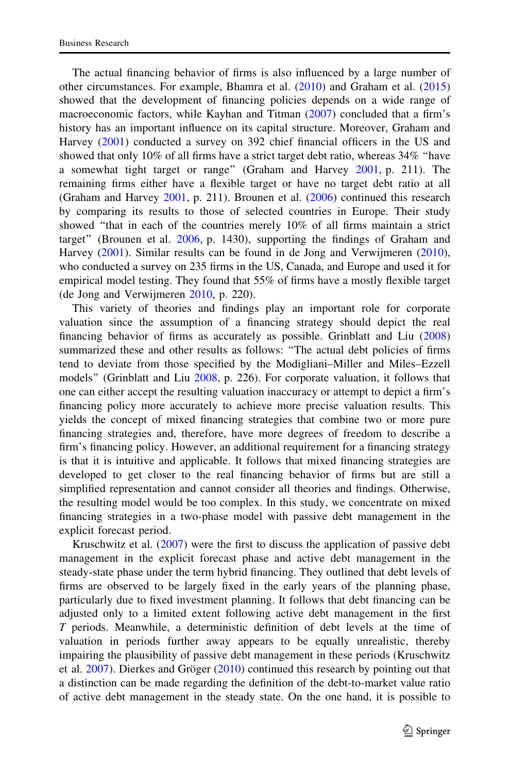The actual financing behavior of firms is also influenced by a large number of other circumstances. For example, Bhamra et al. [\(2010](#page-23-0)) and Graham et al. [\(2015](#page-23-0)) showed that the development of financing policies depends on a wide range of macroeconomic factors, while Kayhan and Titman [\(2007](#page-23-0)) concluded that a firm's history has an important influence on its capital structure. Moreover, Graham and Harvey ([2001\)](#page-23-0) conducted a survey on 392 chief financial officers in the US and showed that only 10% of all firms have a strict target debt ratio, whereas 34% ''have a somewhat tight target or range'' (Graham and Harvey [2001,](#page-23-0) p. 211). The remaining firms either have a flexible target or have no target debt ratio at all (Graham and Harvey [2001,](#page-23-0) p. 211). Brounen et al. [\(2006](#page-23-0)) continued this research by comparing its results to those of selected countries in Europe. Their study showed ''that in each of the countries merely 10% of all firms maintain a strict target'' (Brounen et al. [2006](#page-23-0), p. 1430), supporting the findings of Graham and Harvey [\(2001](#page-23-0)). Similar results can be found in de Jong and Verwijmeren ([2010\)](#page-23-0), who conducted a survey on 235 firms in the US, Canada, and Europe and used it for empirical model testing. They found that 55% of firms have a mostly flexible target (de Jong and Verwijmeren [2010](#page-23-0), p. 220).

This variety of theories and findings play an important role for corporate valuation since the assumption of a financing strategy should depict the real financing behavior of firms as accurately as possible. Grinblatt and Liu [\(2008](#page-23-0)) summarized these and other results as follows: ''The actual debt policies of firms tend to deviate from those specified by the Modigliani–Miller and Miles–Ezzell models'' (Grinblatt and Liu [2008](#page-23-0), p. 226). For corporate valuation, it follows that one can either accept the resulting valuation inaccuracy or attempt to depict a firm's financing policy more accurately to achieve more precise valuation results. This yields the concept of mixed financing strategies that combine two or more pure financing strategies and, therefore, have more degrees of freedom to describe a firm's financing policy. However, an additional requirement for a financing strategy is that it is intuitive and applicable. It follows that mixed financing strategies are developed to get closer to the real financing behavior of firms but are still a simplified representation and cannot consider all theories and findings. Otherwise, the resulting model would be too complex. In this study, we concentrate on mixed financing strategies in a two-phase model with passive debt management in the explicit forecast period.

Kruschwitz et al. [\(2007](#page-24-0)) were the first to discuss the application of passive debt management in the explicit forecast phase and active debt management in the steady-state phase under the term hybrid financing. They outlined that debt levels of firms are observed to be largely fixed in the early years of the planning phase, particularly due to fixed investment planning. It follows that debt financing can be adjusted only to a limited extent following active debt management in the first T periods. Meanwhile, a deterministic definition of debt levels at the time of valuation in periods further away appears to be equally unrealistic, thereby impairing the plausibility of passive debt management in these periods (Kruschwitz et al.  $2007$ ). Dierkes and Gröger ( $2010$ ) continued this research by pointing out that a distinction can be made regarding the definition of the debt-to-market value ratio of active debt management in the steady state. On the one hand, it is possible to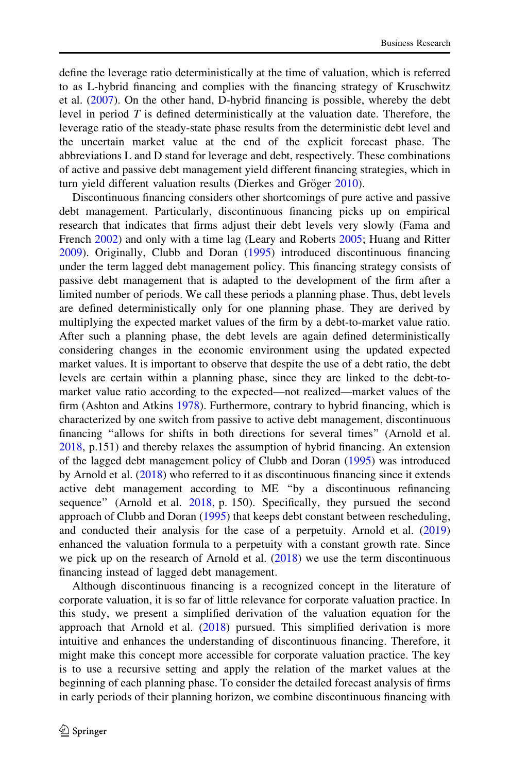define the leverage ratio deterministically at the time of valuation, which is referred to as L-hybrid financing and complies with the financing strategy of Kruschwitz et al. [\(2007](#page-24-0)). On the other hand, D-hybrid financing is possible, whereby the debt level in period  $T$  is defined deterministically at the valuation date. Therefore, the leverage ratio of the steady-state phase results from the deterministic debt level and the uncertain market value at the end of the explicit forecast phase. The abbreviations L and D stand for leverage and debt, respectively. These combinations of active and passive debt management yield different financing strategies, which in turn yield different valuation results (Dierkes and Gröger [2010\)](#page-23-0).

Discontinuous financing considers other shortcomings of pure active and passive debt management. Particularly, discontinuous financing picks up on empirical research that indicates that firms adjust their debt levels very slowly (Fama and French [2002\)](#page-23-0) and only with a time lag (Leary and Roberts [2005](#page-24-0); Huang and Ritter [2009\)](#page-23-0). Originally, Clubb and Doran ([1995\)](#page-23-0) introduced discontinuous financing under the term lagged debt management policy. This financing strategy consists of passive debt management that is adapted to the development of the firm after a limited number of periods. We call these periods a planning phase. Thus, debt levels are defined deterministically only for one planning phase. They are derived by multiplying the expected market values of the firm by a debt-to-market value ratio. After such a planning phase, the debt levels are again defined deterministically considering changes in the economic environment using the updated expected market values. It is important to observe that despite the use of a debt ratio, the debt levels are certain within a planning phase, since they are linked to the debt-tomarket value ratio according to the expected—not realized—market values of the firm (Ashton and Atkins [1978](#page-23-0)). Furthermore, contrary to hybrid financing, which is characterized by one switch from passive to active debt management, discontinuous financing ''allows for shifts in both directions for several times'' (Arnold et al. [2018,](#page-23-0) p.151) and thereby relaxes the assumption of hybrid financing. An extension of the lagged debt management policy of Clubb and Doran [\(1995](#page-23-0)) was introduced by Arnold et al. [\(2018](#page-23-0)) who referred to it as discontinuous financing since it extends active debt management according to ME ''by a discontinuous refinancing sequence" (Arnold et al. [2018,](#page-23-0) p. 150). Specifically, they pursued the second approach of Clubb and Doran [\(1995](#page-23-0)) that keeps debt constant between rescheduling, and conducted their analysis for the case of a perpetuity. Arnold et al. [\(2019](#page-23-0)) enhanced the valuation formula to a perpetuity with a constant growth rate. Since we pick up on the research of Arnold et al. ([2018\)](#page-23-0) we use the term discontinuous financing instead of lagged debt management.

Although discontinuous financing is a recognized concept in the literature of corporate valuation, it is so far of little relevance for corporate valuation practice. In this study, we present a simplified derivation of the valuation equation for the approach that Arnold et al. ([2018\)](#page-23-0) pursued. This simplified derivation is more intuitive and enhances the understanding of discontinuous financing. Therefore, it might make this concept more accessible for corporate valuation practice. The key is to use a recursive setting and apply the relation of the market values at the beginning of each planning phase. To consider the detailed forecast analysis of firms in early periods of their planning horizon, we combine discontinuous financing with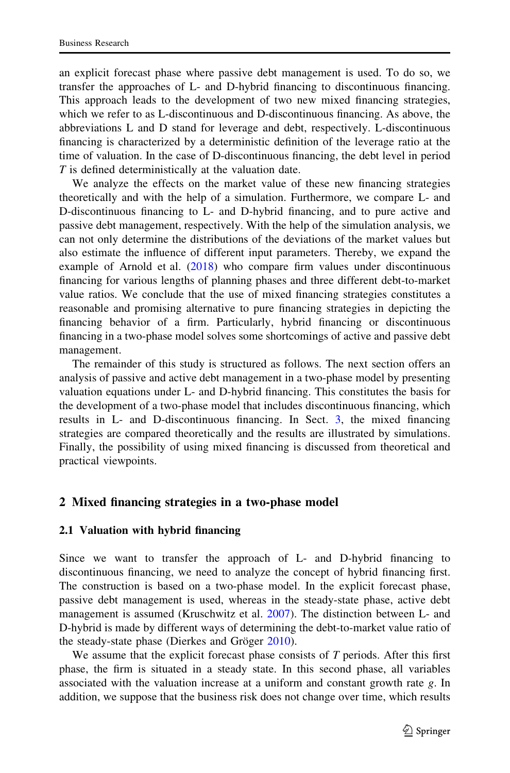an explicit forecast phase where passive debt management is used. To do so, we transfer the approaches of L- and D-hybrid financing to discontinuous financing. This approach leads to the development of two new mixed financing strategies, which we refer to as L-discontinuous and D-discontinuous financing. As above, the abbreviations L and D stand for leverage and debt, respectively. L-discontinuous financing is characterized by a deterministic definition of the leverage ratio at the time of valuation. In the case of D-discontinuous financing, the debt level in period T is defined deterministically at the valuation date.

We analyze the effects on the market value of these new financing strategies theoretically and with the help of a simulation. Furthermore, we compare L- and D-discontinuous financing to L- and D-hybrid financing, and to pure active and passive debt management, respectively. With the help of the simulation analysis, we can not only determine the distributions of the deviations of the market values but also estimate the influence of different input parameters. Thereby, we expand the example of Arnold et al. [\(2018](#page-23-0)) who compare firm values under discontinuous financing for various lengths of planning phases and three different debt-to-market value ratios. We conclude that the use of mixed financing strategies constitutes a reasonable and promising alternative to pure financing strategies in depicting the financing behavior of a firm. Particularly, hybrid financing or discontinuous financing in a two-phase model solves some shortcomings of active and passive debt management.

The remainder of this study is structured as follows. The next section offers an analysis of passive and active debt management in a two-phase model by presenting valuation equations under L- and D-hybrid financing. This constitutes the basis for the development of a two-phase model that includes discontinuous financing, which results in L- and D-discontinuous financing. In Sect. [3,](#page-13-0) the mixed financing strategies are compared theoretically and the results are illustrated by simulations. Finally, the possibility of using mixed financing is discussed from theoretical and practical viewpoints.

# 2 Mixed financing strategies in a two-phase model

### 2.1 Valuation with hybrid financing

Since we want to transfer the approach of L- and D-hybrid financing to discontinuous financing, we need to analyze the concept of hybrid financing first. The construction is based on a two-phase model. In the explicit forecast phase, passive debt management is used, whereas in the steady-state phase, active debt management is assumed (Kruschwitz et al. [2007](#page-24-0)). The distinction between L- and D-hybrid is made by different ways of determining the debt-to-market value ratio of the steady-state phase (Dierkes and Gröger  $2010$ ).

We assume that the explicit forecast phase consists of  $T$  periods. After this first phase, the firm is situated in a steady state. In this second phase, all variables associated with the valuation increase at a uniform and constant growth rate g. In addition, we suppose that the business risk does not change over time, which results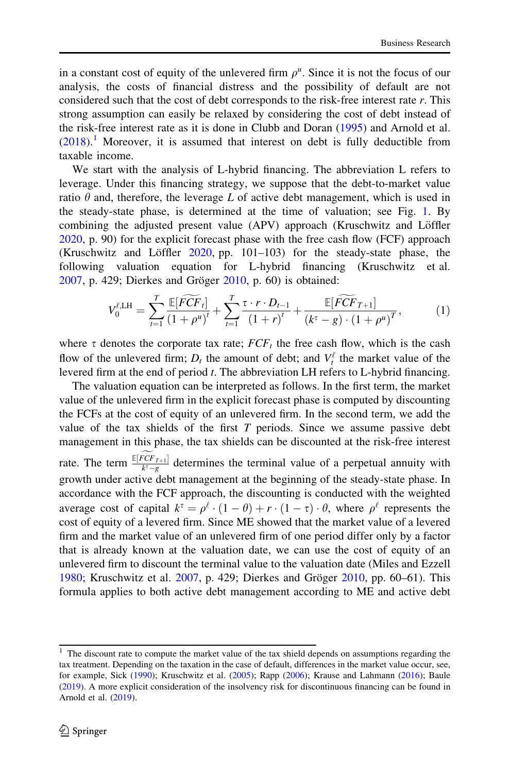<span id="page-5-0"></span>in a constant cost of equity of the unlevered firm  $\rho^u$ . Since it is not the focus of our analysis, the costs of financial distress and the possibility of default are not considered such that the cost of debt corresponds to the risk-free interest rate  $r$ . This strong assumption can easily be relaxed by considering the cost of debt instead of the risk-free interest rate as it is done in Clubb and Doran ([1995\)](#page-23-0) and Arnold et al.  $(2018).$  $(2018).$ <sup>1</sup> Moreover, it is assumed that interest on debt is fully deductible from taxable income.

We start with the analysis of L-hybrid financing. The abbreviation L refers to leverage. Under this financing strategy, we suppose that the debt-to-market value ratio  $\theta$  and, therefore, the leverage L of active debt management, which is used in the steady-state phase, is determined at the time of valuation; see Fig. [1](#page-6-0). By combining the adjusted present value (APV) approach (Kruschwitz and Löffler [2020,](#page-24-0) p. 90) for the explicit forecast phase with the free cash flow (FCF) approach (Kruschwitz and Löffler  $2020$ , pp.  $101-103$ ) for the steady-state phase, the following valuation equation for L-hybrid financing (Kruschwitz et al.  $2007$ , p. 429; Dierkes and Gröger  $2010$ , p. 60) is obtained:

$$
V_0^{\ell, \text{LH}} = \sum_{t=1}^T \frac{\mathbb{E}[\widetilde{FCF}_t]}{(1+\rho^u)^t} + \sum_{t=1}^T \frac{\tau \cdot r \cdot D_{t-1}}{(1+r)^t} + \frac{\mathbb{E}[\widetilde{FCF}_{T+1}]}{(k^{\tau} - g) \cdot (1+\rho^u)^T},
$$
(1)

where  $\tau$  denotes the corporate tax rate;  $FCF_t$  the free cash flow, which is the cash flow of the unlevered firm;  $D_t$  the amount of debt; and  $V_t^{\ell}$  the market value of the levered firm at the end of period  $t$ . The abbreviation LH refers to L-hybrid financing.

The valuation equation can be interpreted as follows. In the first term, the market value of the unlevered firm in the explicit forecast phase is computed by discounting the FCFs at the cost of equity of an unlevered firm. In the second term, we add the value of the tax shields of the first  $T$  periods. Since we assume passive debt management in this phase, the tax shields can be discounted at the risk-free interest rate. The term  $\frac{\mathbb{E}[FCF_{T+1}]}{k^T - g}$  determines the terminal value of a perpetual annuity with growth under active debt management at the beginning of the steady-state phase. In accordance with the FCF approach, the discounting is conducted with the weighted average cost of capital  $k^{\tau} = \rho^{\ell} \cdot (1 - \theta) + r \cdot (1 - \tau) \cdot \theta$ , where  $\rho^{\ell}$  represents the cost of equity of a levered firm. Since ME showed that the market value of a levered firm and the market value of an unlevered firm of one period differ only by a factor that is already known at the valuation date, we can use the cost of equity of an unlevered firm to discount the terminal value to the valuation date (Miles and Ezzell [1980;](#page-24-0) Kruschwitz et al.  $2007$ , p. 429; Dierkes and Gröger  $2010$ , pp. 60–61). This formula applies to both active debt management according to ME and active debt

 $1$  The discount rate to compute the market value of the tax shield depends on assumptions regarding the tax treatment. Depending on the taxation in the case of default, differences in the market value occur, see, for example, Sick [\(1990\)](#page-24-0); Kruschwitz et al. [\(2005](#page-24-0)); Rapp ([2006](#page-24-0)); Krause and Lahmann ([2016\)](#page-23-0); Baule ([2019\)](#page-23-0). A more explicit consideration of the insolvency risk for discontinuous financing can be found in Arnold et al. ([2019\)](#page-23-0).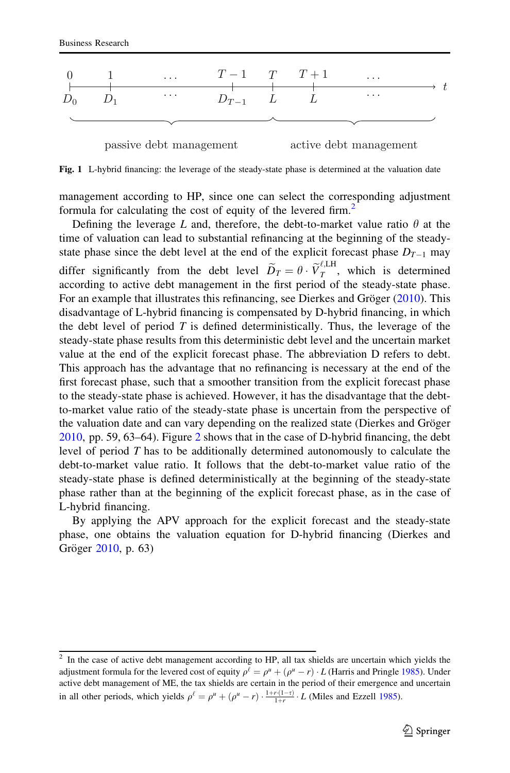<span id="page-6-0"></span>

|       |       | 1 $T-1$ $T$ $T+1$ |                   |  |          |  |
|-------|-------|-------------------|-------------------|--|----------|--|
| $D_0$ | $D_1$ | $\cdots$          | $D_{T-1}$ $L$ $L$ |  | $\cdots$ |  |
|       |       |                   |                   |  |          |  |

passive debt management active debt management

Fig. 1 L-hybrid financing: the leverage of the steady-state phase is determined at the valuation date

management according to HP, since one can select the corresponding adjustment formula for calculating the cost of equity of the levered firm.<sup>2</sup>

Defining the leverage L and, therefore, the debt-to-market value ratio  $\theta$  at the time of valuation can lead to substantial refinancing at the beginning of the steadystate phase since the debt level at the end of the explicit forecast phase  $D_{T-1}$  may differ significantly from the debt level  $\widetilde{D}_T = \theta \cdot \widetilde{V}_T^{\ell, \text{LH}}$ , which is determined according to active debt management in the first period of the steady-state phase. For an example that illustrates this refinancing, see Dierkes and Gröger  $(2010)$  $(2010)$ . This disadvantage of L-hybrid financing is compensated by D-hybrid financing, in which the debt level of period  $T$  is defined deterministically. Thus, the leverage of the steady-state phase results from this deterministic debt level and the uncertain market value at the end of the explicit forecast phase. The abbreviation D refers to debt. This approach has the advantage that no refinancing is necessary at the end of the first forecast phase, such that a smoother transition from the explicit forecast phase to the steady-state phase is achieved. However, it has the disadvantage that the debtto-market value ratio of the steady-state phase is uncertain from the perspective of the valuation date and can vary depending on the realized state (Dierkes and Gröger [2010,](#page-23-0) pp. 59, 63–64). Figure [2](#page-7-0) shows that in the case of D-hybrid financing, the debt level of period  $T$  has to be additionally determined autonomously to calculate the debt-to-market value ratio. It follows that the debt-to-market value ratio of the steady-state phase is defined deterministically at the beginning of the steady-state phase rather than at the beginning of the explicit forecast phase, as in the case of L-hybrid financing.

By applying the APV approach for the explicit forecast and the steady-state phase, one obtains the valuation equation for D-hybrid financing (Dierkes and Gröger [2010,](#page-23-0) p. 63)

 $2$  In the case of active debt management according to HP, all tax shields are uncertain which yields the adjustment formula for the levered cost of equity  $\rho^{\ell} = \rho^{\mu} + (\rho^{\mu} - r) \cdot L$  (Harris and Pringle [1985\)](#page-23-0). Under active debt management of ME, the tax shields are certain in the period of their emergence and uncertain in all other periods, which yields  $\rho^{\ell} = \rho^{\mu} + (\rho^{\mu} - r) \cdot \frac{1 + r \cdot (1 - \tau)}{1 + r} \cdot L$  (Miles and Ezzell [1985\)](#page-24-0).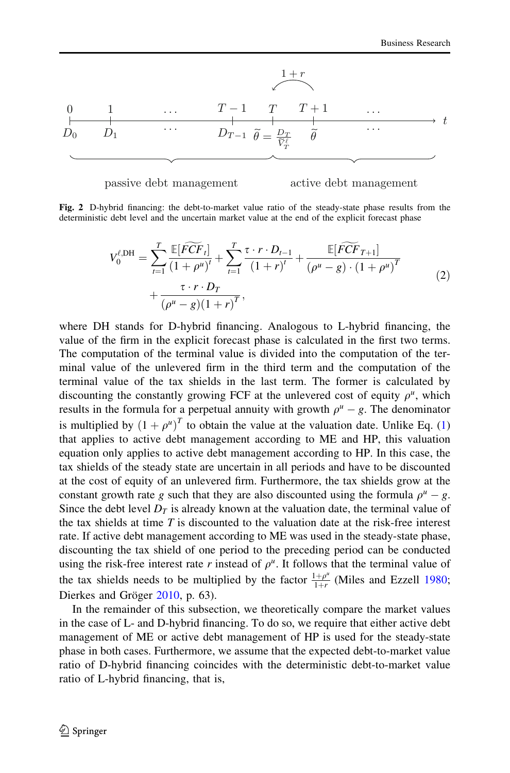<span id="page-7-0"></span>

passive debt management active debt management

Fig. 2 D-hybrid financing: the debt-to-market value ratio of the steady-state phase results from the deterministic debt level and the uncertain market value at the end of the explicit forecast phase

$$
V_0^{\ell, \text{DH}} = \sum_{t=1}^T \frac{\mathbb{E}[\widetilde{FCF}_t]}{(1+\rho^u)^t} + \sum_{t=1}^T \frac{\tau \cdot r \cdot D_{t-1}}{(1+r)^t} + \frac{\mathbb{E}[\widetilde{FCF}_{T+1}]}{(\rho^u - g) \cdot (1+\rho^u)^T} + \frac{\tau \cdot r \cdot D_T}{(\rho^u - g)(1+r)^T},
$$
\n(2)

where DH stands for D-hybrid financing. Analogous to L-hybrid financing, the value of the firm in the explicit forecast phase is calculated in the first two terms. The computation of the terminal value is divided into the computation of the terminal value of the unlevered firm in the third term and the computation of the terminal value of the tax shields in the last term. The former is calculated by discounting the constantly growing FCF at the unlevered cost of equity  $\rho^u$ , which results in the formula for a perpetual annuity with growth  $\rho^{\mu} - g$ . The denominator is multiplied by  $(1 + \rho^{\mu})^T$  $(1 + \rho^{\mu})^T$  to obtain the value at the valuation date. Unlike Eq. (1) that applies to active debt management according to ME and HP, this valuation equation only applies to active debt management according to HP. In this case, the tax shields of the steady state are uncertain in all periods and have to be discounted at the cost of equity of an unlevered firm. Furthermore, the tax shields grow at the constant growth rate g such that they are also discounted using the formula  $\rho^{\mu} - g$ . Since the debt level  $D<sub>T</sub>$  is already known at the valuation date, the terminal value of the tax shields at time  $T$  is discounted to the valuation date at the risk-free interest rate. If active debt management according to ME was used in the steady-state phase, discounting the tax shield of one period to the preceding period can be conducted using the risk-free interest rate r instead of  $\rho^u$ . It follows that the terminal value of the tax shields needs to be multiplied by the factor  $\frac{1+\rho^u}{1+r}$  (Miles and Ezzell [1980;](#page-24-0) Dierkes and Gröger [2010,](#page-23-0) p. 63).

In the remainder of this subsection, we theoretically compare the market values in the case of L- and D-hybrid financing. To do so, we require that either active debt management of ME or active debt management of HP is used for the steady-state phase in both cases. Furthermore, we assume that the expected debt-to-market value ratio of D-hybrid financing coincides with the deterministic debt-to-market value ratio of L-hybrid financing, that is,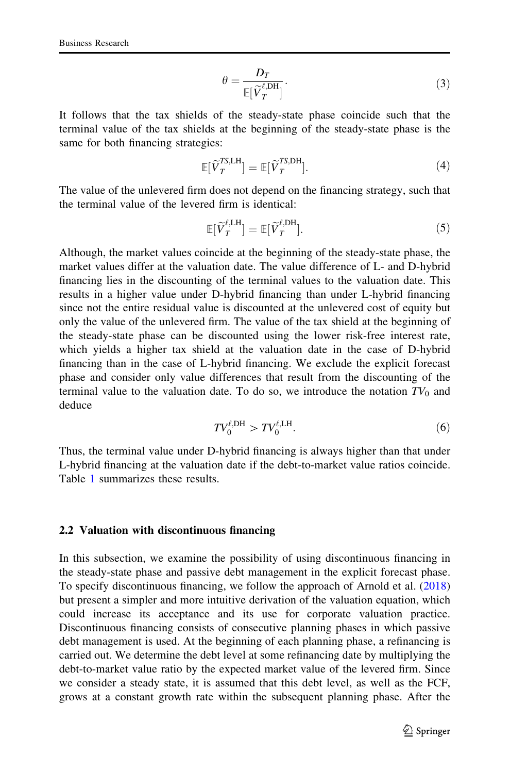$$
\theta = \frac{D_T}{\mathbb{E}[\tilde{V}_T^{\ell, \text{DH}}]}.
$$
\n(3)

<span id="page-8-0"></span>It follows that the tax shields of the steady-state phase coincide such that the terminal value of the tax shields at the beginning of the steady-state phase is the same for both financing strategies:

$$
\mathbb{E}[\widetilde{V}_T^{\text{TS},\text{LH}}] = \mathbb{E}[\widetilde{V}_T^{\text{TS},\text{DH}}].\tag{4}
$$

The value of the unlevered firm does not depend on the financing strategy, such that the terminal value of the levered firm is identical:

$$
\mathbb{E}[\widetilde{V}_T^{\ell, \text{LH}}] = \mathbb{E}[\widetilde{V}_T^{\ell, \text{DH}}].\tag{5}
$$

Although, the market values coincide at the beginning of the steady-state phase, the market values differ at the valuation date. The value difference of L- and D-hybrid financing lies in the discounting of the terminal values to the valuation date. This results in a higher value under D-hybrid financing than under L-hybrid financing since not the entire residual value is discounted at the unlevered cost of equity but only the value of the unlevered firm. The value of the tax shield at the beginning of the steady-state phase can be discounted using the lower risk-free interest rate, which yields a higher tax shield at the valuation date in the case of D-hybrid financing than in the case of L-hybrid financing. We exclude the explicit forecast phase and consider only value differences that result from the discounting of the terminal value to the valuation date. To do so, we introduce the notation  $TV_0$  and deduce

$$
TV_0^{\ell, \text{DH}} > TV_0^{\ell, \text{LH}}.\tag{6}
$$

Thus, the terminal value under D-hybrid financing is always higher than that under L-hybrid financing at the valuation date if the debt-to-market value ratios coincide. Table [1](#page-9-0) summarizes these results.

#### 2.2 Valuation with discontinuous financing

In this subsection, we examine the possibility of using discontinuous financing in the steady-state phase and passive debt management in the explicit forecast phase. To specify discontinuous financing, we follow the approach of Arnold et al. [\(2018](#page-23-0)) but present a simpler and more intuitive derivation of the valuation equation, which could increase its acceptance and its use for corporate valuation practice. Discontinuous financing consists of consecutive planning phases in which passive debt management is used. At the beginning of each planning phase, a refinancing is carried out. We determine the debt level at some refinancing date by multiplying the debt-to-market value ratio by the expected market value of the levered firm. Since we consider a steady state, it is assumed that this debt level, as well as the FCF, grows at a constant growth rate within the subsequent planning phase. After the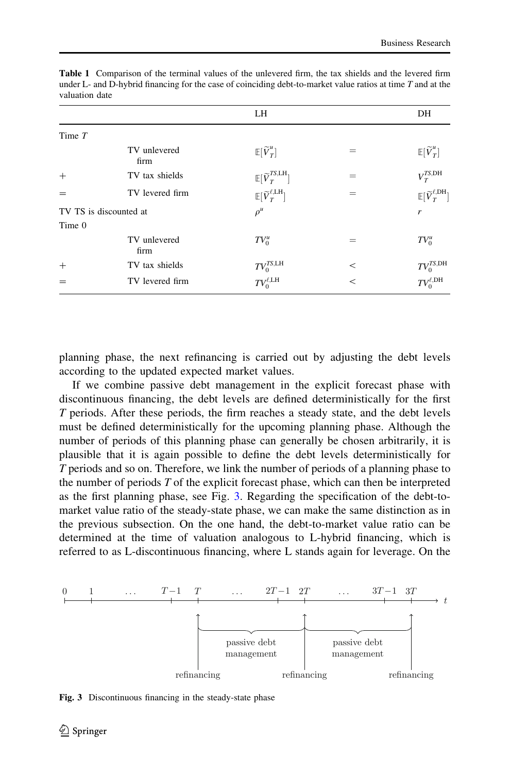|          |                        | LH                                               |         | DH                                                               |
|----------|------------------------|--------------------------------------------------|---------|------------------------------------------------------------------|
| Time $T$ |                        |                                                  |         |                                                                  |
|          | TV unlevered<br>firm   | $\mathbb{E}[\widetilde{V}_T^u]$                  |         | $\mathbb{E}[\widetilde{V}_T^u]$                                  |
| $+$      | TV tax shields         | $\mathbb{E}[\widetilde{V}_{T}^{T\text{S, LH}}]$  |         | $V_T^{TS, \rm DH}$                                               |
| $=$      | TV levered firm        | $\mathbb{E}[\widetilde{V}_{T}^{\ell,\text{LH}}]$ | $=$     | $\mathbb{E}[\widetilde{V}_{T}^{\ell,\text{DH}}]$                 |
|          | TV TS is discounted at | $\rho^{\mu}$                                     |         | r                                                                |
| Time 0   |                        |                                                  |         |                                                                  |
|          | TV unlevered<br>firm   | $TV_0^u$                                         |         | $TV_0^u$                                                         |
| $^{+}$   | TV tax shields         | $TV_0^{TS, \rm LH}$                              | $\,<\,$ |                                                                  |
| $=$      | TV levered firm        | $TV_0^{\ell, \text{LH}}$                         | $\,<\,$ | $\frac{TV_0^{T\mathrm{S},\mathrm{DH}}}{TV_0^{\ell,\mathrm{DH}}}$ |

<span id="page-9-0"></span>Table 1 Comparison of the terminal values of the unlevered firm, the tax shields and the levered firm under L- and D-hybrid financing for the case of coinciding debt-to-market value ratios at time  $T$  and at the valuation date

planning phase, the next refinancing is carried out by adjusting the debt levels according to the updated expected market values.

If we combine passive debt management in the explicit forecast phase with discontinuous financing, the debt levels are defined deterministically for the first T periods. After these periods, the firm reaches a steady state, and the debt levels must be defined deterministically for the upcoming planning phase. Although the number of periods of this planning phase can generally be chosen arbitrarily, it is plausible that it is again possible to define the debt levels deterministically for T periods and so on. Therefore, we link the number of periods of a planning phase to the number of periods  $T$  of the explicit forecast phase, which can then be interpreted as the first planning phase, see Fig. 3. Regarding the specification of the debt-tomarket value ratio of the steady-state phase, we can make the same distinction as in the previous subsection. On the one hand, the debt-to-market value ratio can be determined at the time of valuation analogous to L-hybrid financing, which is referred to as L-discontinuous financing, where L stands again for leverage. On the



Fig. 3 Discontinuous financing in the steady-state phase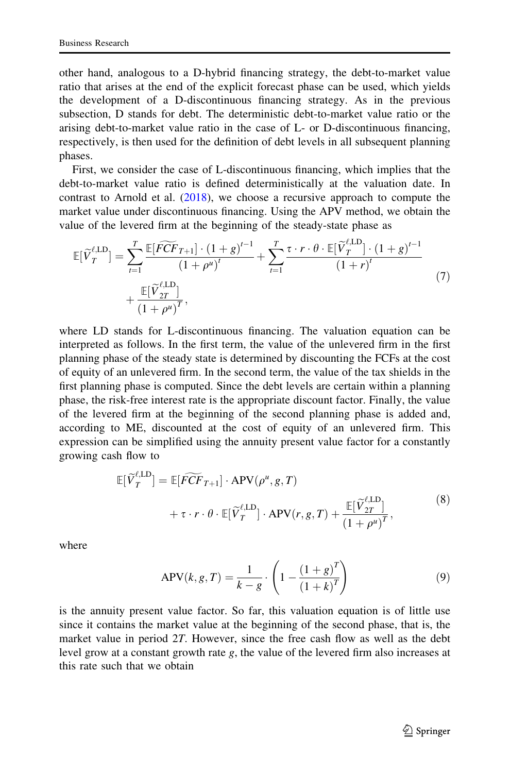<span id="page-10-0"></span>other hand, analogous to a D-hybrid financing strategy, the debt-to-market value ratio that arises at the end of the explicit forecast phase can be used, which yields the development of a D-discontinuous financing strategy. As in the previous subsection, D stands for debt. The deterministic debt-to-market value ratio or the arising debt-to-market value ratio in the case of L- or D-discontinuous financing, respectively, is then used for the definition of debt levels in all subsequent planning phases.

First, we consider the case of L-discontinuous financing, which implies that the debt-to-market value ratio is defined deterministically at the valuation date. In contrast to Arnold et al. ([2018\)](#page-23-0), we choose a recursive approach to compute the market value under discontinuous financing. Using the APV method, we obtain the value of the levered firm at the beginning of the steady-state phase as

$$
\mathbb{E}[\widetilde{V}_{T}^{\ell,LD}] = \sum_{t=1}^{T} \frac{\mathbb{E}[\widetilde{FCF}_{T+1}] \cdot (1+g)^{t-1}}{(1+\rho^u)^t} + \sum_{t=1}^{T} \frac{\tau \cdot r \cdot \theta \cdot \mathbb{E}[\widetilde{V}_{T}^{\ell,LD}] \cdot (1+g)^{t-1}}{(1+r)^t} + \frac{\mathbb{E}[\widetilde{V}_{2T}^{\ell,LD}]}{(1+\rho^u)^T},
$$
\n(7)

where LD stands for L-discontinuous financing. The valuation equation can be interpreted as follows. In the first term, the value of the unlevered firm in the first planning phase of the steady state is determined by discounting the FCFs at the cost of equity of an unlevered firm. In the second term, the value of the tax shields in the first planning phase is computed. Since the debt levels are certain within a planning phase, the risk-free interest rate is the appropriate discount factor. Finally, the value of the levered firm at the beginning of the second planning phase is added and, according to ME, discounted at the cost of equity of an unlevered firm. This expression can be simplified using the annuity present value factor for a constantly growing cash flow to

$$
\mathbb{E}[\widetilde{V}_{T}^{\ell, \text{LD}}] = \mathbb{E}[\widetilde{FCF}_{T+1}] \cdot \text{APV}(\rho^u, g, T)
$$

$$
+ \tau \cdot r \cdot \theta \cdot \mathbb{E}[\widetilde{V}_{T}^{\ell, \text{LD}}] \cdot \text{APV}(r, g, T) + \frac{\mathbb{E}[\widetilde{V}_{2T}^{\ell, \text{LD}}]}{(1 + \rho^u)^T},
$$
(8)

where

APV(k, g, T) = 
$$
\frac{1}{k - g} \cdot \left(1 - \frac{(1 + g)^T}{(1 + k)^T}\right)
$$
 (9)

is the annuity present value factor. So far, this valuation equation is of little use since it contains the market value at the beginning of the second phase, that is, the market value in period 2T. However, since the free cash flow as well as the debt level grow at a constant growth rate  $g$ , the value of the levered firm also increases at this rate such that we obtain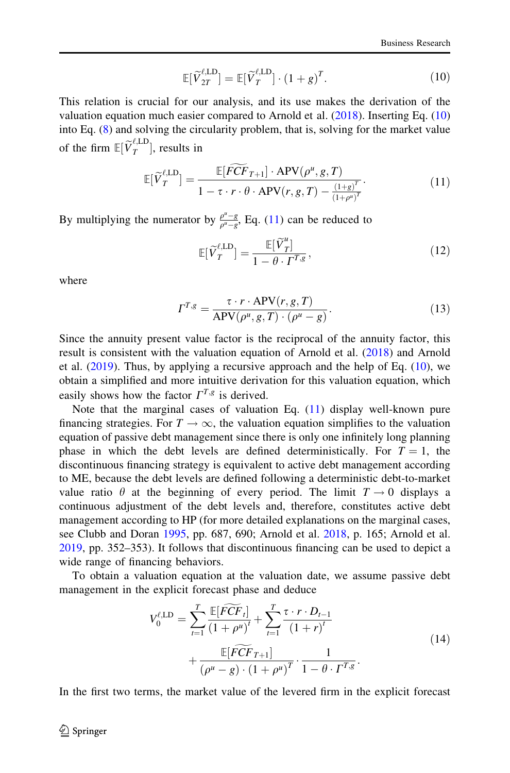$$
\mathbb{E}[\widetilde{V}_{2T}^{\ell, \text{LD}}] = \mathbb{E}[\widetilde{V}_T^{\ell, \text{LD}}] \cdot (1+g)^T.
$$
 (10)

<span id="page-11-0"></span>This relation is crucial for our analysis, and its use makes the derivation of the valuation equation much easier compared to Arnold et al. ([2018\)](#page-23-0). Inserting Eq. [\(10](#page-10-0)) into Eq. ([8\)](#page-10-0) and solving the circularity problem, that is, solving for the market value of the firm  $\mathbb{E}[\tilde{V}_T^{\ell,LD}]$ , results in

$$
\mathbb{E}[\widetilde{V}_T^{\ell, \text{LD}}] = \frac{\mathbb{E}[\widetilde{FCF}_{T+1}] \cdot \text{APV}(\rho^u, g, T)}{1 - \tau \cdot r \cdot \theta \cdot \text{APV}(r, g, T) - \frac{(1+g)^T}{(1+\rho^u)^T}}.
$$
\n(11)

By multiplying the numerator by  $\frac{\rho^u - g}{\rho^u - g}$ , Eq. (11) can be reduced to

$$
\mathbb{E}[\widetilde{V}_T^{\ell, \mathrm{LD}}] = \frac{\mathbb{E}[\widetilde{V}_T^u]}{1 - \theta \cdot \Gamma^{T, g}},\tag{12}
$$

where

$$
\Gamma^{T,g} = \frac{\tau \cdot r \cdot \text{APV}(r, g, T)}{\text{APV}(\rho^u, g, T) \cdot (\rho^u - g)}.
$$
\n(13)

Since the annuity present value factor is the reciprocal of the annuity factor, this result is consistent with the valuation equation of Arnold et al. ([2018\)](#page-23-0) and Arnold et al.  $(2019)$  $(2019)$ . Thus, by applying a recursive approach and the help of Eq.  $(10)$  $(10)$ , we obtain a simplified and more intuitive derivation for this valuation equation, which easily shows how the factor  $\Gamma^{T,g}$  is derived.

Note that the marginal cases of valuation Eq.  $(11)$  display well-known pure financing strategies. For  $T \to \infty$ , the valuation equation simplifies to the valuation equation of passive debt management since there is only one infinitely long planning phase in which the debt levels are defined deterministically. For  $T = 1$ , the discontinuous financing strategy is equivalent to active debt management according to ME, because the debt levels are defined following a deterministic debt-to-market value ratio  $\theta$  at the beginning of every period. The limit  $T \rightarrow 0$  displays a continuous adjustment of the debt levels and, therefore, constitutes active debt management according to HP (for more detailed explanations on the marginal cases, see Clubb and Doran [1995,](#page-23-0) pp. 687, 690; Arnold et al. [2018,](#page-23-0) p. 165; Arnold et al. [2019,](#page-23-0) pp. 352–353). It follows that discontinuous financing can be used to depict a wide range of financing behaviors.

To obtain a valuation equation at the valuation date, we assume passive debt management in the explicit forecast phase and deduce

$$
V_0^{\ell,LD} = \sum_{t=1}^T \frac{\mathbb{E}[\widetilde{FCF}_t]}{(1+\rho^u)^t} + \sum_{t=1}^T \frac{\tau \cdot r \cdot D_{t-1}}{(1+r)^t} + \frac{\mathbb{E}[\widetilde{FCF}_{T+1}]}{(\rho^u - g) \cdot (1+\rho^u)^T} \cdot \frac{1}{1-\theta \cdot \Gamma^{T,g}}.
$$
\n(14)

In the first two terms, the market value of the levered firm in the explicit forecast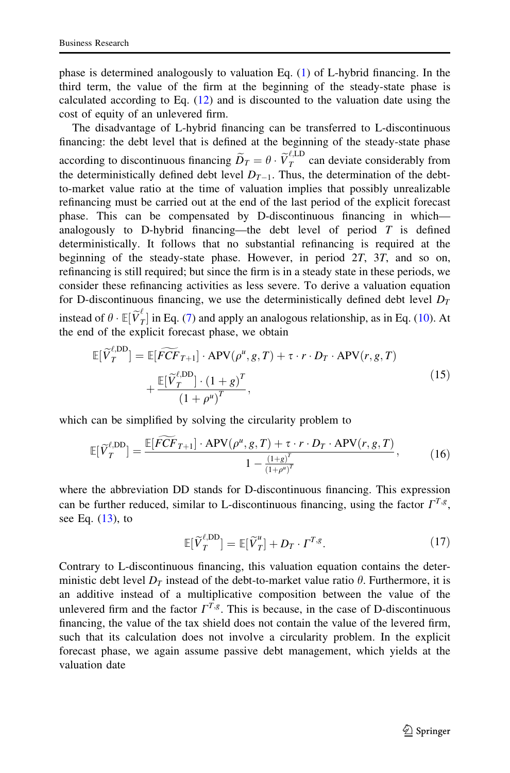<span id="page-12-0"></span>phase is determined analogously to valuation Eq. [\(1](#page-5-0)) of L-hybrid financing. In the third term, the value of the firm at the beginning of the steady-state phase is calculated according to Eq. [\(12](#page-11-0)) and is discounted to the valuation date using the cost of equity of an unlevered firm.

The disadvantage of L-hybrid financing can be transferred to L-discontinuous financing: the debt level that is defined at the beginning of the steady-state phase according to discontinuous financing  $\widetilde{D}_T = \theta \cdot \widetilde{V}_T^{\ell, \text{LD}}$  can deviate considerably from the deterministically defined debt level  $D_{T-1}$ . Thus, the determination of the debtto-market value ratio at the time of valuation implies that possibly unrealizable refinancing must be carried out at the end of the last period of the explicit forecast phase. This can be compensated by D-discontinuous financing in which analogously to D-hybrid financing—the debt level of period  $T$  is defined deterministically. It follows that no substantial refinancing is required at the beginning of the steady-state phase. However, in period 2T, 3T, and so on, refinancing is still required; but since the firm is in a steady state in these periods, we consider these refinancing activities as less severe. To derive a valuation equation for D-discontinuous financing, we use the deterministically defined debt level  $D_T$ instead of  $\theta$  ·  $\mathbb{E}[\tilde{V}_T^{\ell}]$  in Eq. [\(7](#page-10-0)) and apply an analogous relationship, as in Eq. [\(10](#page-10-0)). At the end of the explicit forecast phase, we obtain

$$
\mathbb{E}[\widetilde{V}_{T}^{\ell,DD}] = \mathbb{E}[\widetilde{FCF}_{T+1}] \cdot \mathbf{APV}(\rho^u, g, T) + \tau \cdot r \cdot D_T \cdot \mathbf{APV}(r, g, T) + \frac{\mathbb{E}[\widetilde{V}_{T}^{\ell,DD}] \cdot (1+g)^T}{(1+\rho^u)^T},
$$
\n(15)

which can be simplified by solving the circularity problem to

$$
\mathbb{E}[\widetilde{V}_T^{\ell,DD}] = \frac{\mathbb{E}[\widetilde{FCF}_{T+1}] \cdot \mathrm{APV}(\rho^u, g, T) + \tau \cdot r \cdot D_T \cdot \mathrm{APV}(r, g, T)}{1 - \frac{(1+g)^T}{(1+\rho^u)^T}},\tag{16}
$$

where the abbreviation DD stands for D-discontinuous financing. This expression can be further reduced, similar to L-discontinuous financing, using the factor  $\Gamma^{T,g}$ , see Eq.  $(13)$  $(13)$ , to

$$
\mathbb{E}[\widetilde{V}_T^{\ell,DD}] = \mathbb{E}[\widetilde{V}_T^u] + D_T \cdot \Gamma^{T,g}.
$$
\n(17)

Contrary to L-discontinuous financing, this valuation equation contains the deterministic debt level  $D_T$  instead of the debt-to-market value ratio  $\theta$ . Furthermore, it is an additive instead of a multiplicative composition between the value of the unlevered firm and the factor  $\Gamma^{T,g}$ . This is because, in the case of D-discontinuous financing, the value of the tax shield does not contain the value of the levered firm, such that its calculation does not involve a circularity problem. In the explicit forecast phase, we again assume passive debt management, which yields at the valuation date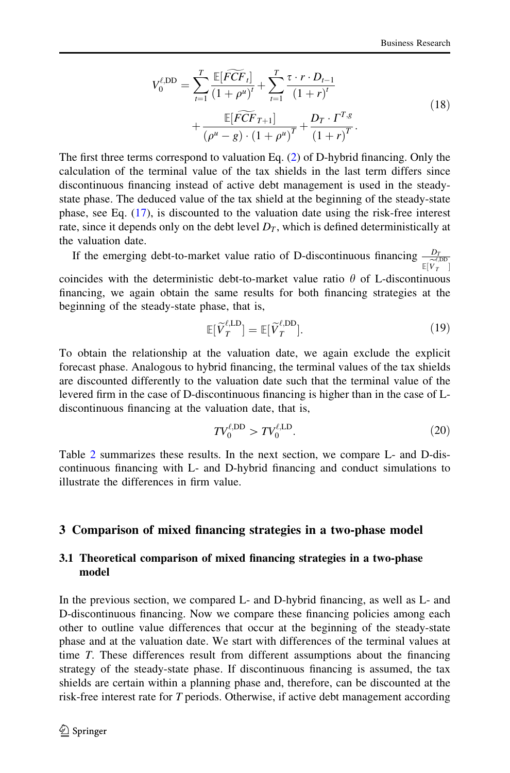$$
V_0^{\ell,DD} = \sum_{t=1}^T \frac{\mathbb{E}[\widetilde{FCF}_t]}{(1+\rho^u)^t} + \sum_{t=1}^T \frac{\tau \cdot r \cdot D_{t-1}}{(1+r)^t} + \frac{\mathbb{E}[\widetilde{FCF}_{T+1}]}{(\rho^u - g) \cdot (1+\rho^u)^T} + \frac{D_T \cdot \Gamma^{T,g}}{(1+r)^T}.
$$
\n(18)

<span id="page-13-0"></span>The first three terms correspond to valuation Eq. ([2\)](#page-6-0) of D-hybrid financing. Only the calculation of the terminal value of the tax shields in the last term differs since discontinuous financing instead of active debt management is used in the steadystate phase. The deduced value of the tax shield at the beginning of the steady-state phase, see Eq. [\(17](#page-12-0)), is discounted to the valuation date using the risk-free interest rate, since it depends only on the debt level  $D<sub>T</sub>$ , which is defined deterministically at the valuation date.

If the emerging debt-to-market value ratio of D-discontinuous financing  $\frac{D_T}{\sim 0.000}$  $\mathbb{E}[V_T]$ coincides with the deterministic debt-to-market value ratio  $\theta$  of L-discontinuous financing, we again obtain the same results for both financing strategies at the beginning of the steady-state phase, that is,

$$
\mathbb{E}[\widetilde{V}_T^{\ell, \mathrm{LD}}] = \mathbb{E}[\widetilde{V}_T^{\ell, \mathrm{DD}}].\tag{19}
$$

To obtain the relationship at the valuation date, we again exclude the explicit forecast phase. Analogous to hybrid financing, the terminal values of the tax shields are discounted differently to the valuation date such that the terminal value of the levered firm in the case of D-discontinuous financing is higher than in the case of Ldiscontinuous financing at the valuation date, that is,

$$
TV_0^{\ell,DD} > TV_0^{\ell,LD}.
$$
\n
$$
(20)
$$

Table [2](#page-14-0) summarizes these results. In the next section, we compare L- and D-discontinuous financing with L- and D-hybrid financing and conduct simulations to illustrate the differences in firm value.

### 3 Comparison of mixed financing strategies in a two-phase model

# 3.1 Theoretical comparison of mixed financing strategies in a two-phase model

In the previous section, we compared L- and D-hybrid financing, as well as L- and D-discontinuous financing. Now we compare these financing policies among each other to outline value differences that occur at the beginning of the steady-state phase and at the valuation date. We start with differences of the terminal values at time T. These differences result from different assumptions about the financing strategy of the steady-state phase. If discontinuous financing is assumed, the tax shields are certain within a planning phase and, therefore, can be discounted at the risk-free interest rate for T periods. Otherwise, if active debt management according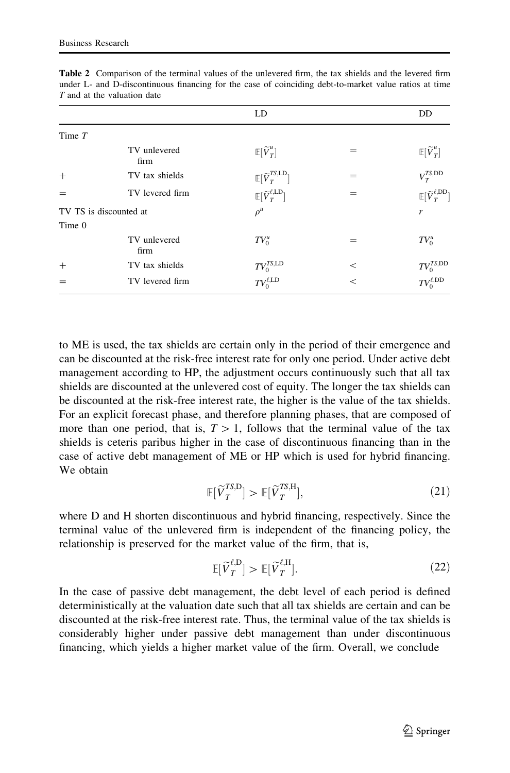|          |                        | LD                                                      |         | DD                                                        |
|----------|------------------------|---------------------------------------------------------|---------|-----------------------------------------------------------|
| Time $T$ |                        |                                                         |         |                                                           |
|          | TV unlevered<br>firm   | $\mathbb{E}[\widetilde{V}_T^u]$                         | $=$     | $\mathbb{E}[\widetilde{V}_T^u]$                           |
| $+$      | TV tax shields         | $\mathbb{E}[\widetilde{V}_{T}^{TS,LD}]$                 |         | $V_T^{TS,DD}$                                             |
| $=$      | TV levered firm        | $\mathbb{E}[\widetilde{V}_{T}^{\ell,\mathrm{LD}}]$      | $=$     | $\mathbb{E}[\tilde{\boldsymbol{V}}^{\ell,\mathrm{DD}}_T]$ |
|          | TV TS is discounted at | $\rho^{\mu}$                                            |         | r                                                         |
| Time 0   |                        |                                                         |         |                                                           |
|          | TV unlevered<br>firm   | $TV_0^u$                                                | $=$     | $TV_0^u$                                                  |
| $^{+}$   | TV tax shields         |                                                         | $\,<\,$ |                                                           |
| $=$      | TV levered firm        | $TV_0^{TS, {\rm LD}} \over \Gamma V_0^{\ell, {\rm LD}}$ | $\,<\,$ | $\frac{TV_0^{TS,DD}}{TV_0^{\ell,DD}}$                     |

<span id="page-14-0"></span>Table 2 Comparison of the terminal values of the unlevered firm, the tax shields and the levered firm under L- and D-discontinuous financing for the case of coinciding debt-to-market value ratios at time T and at the valuation date

to ME is used, the tax shields are certain only in the period of their emergence and can be discounted at the risk-free interest rate for only one period. Under active debt management according to HP, the adjustment occurs continuously such that all tax shields are discounted at the unlevered cost of equity. The longer the tax shields can be discounted at the risk-free interest rate, the higher is the value of the tax shields. For an explicit forecast phase, and therefore planning phases, that are composed of more than one period, that is,  $T > 1$ , follows that the terminal value of the tax shields is ceteris paribus higher in the case of discontinuous financing than in the case of active debt management of ME or HP which is used for hybrid financing. We obtain

$$
\mathbb{E}[\widetilde{V}_T^{TS,D}] > \mathbb{E}[\widetilde{V}_T^{TS,H}],\tag{21}
$$

where D and H shorten discontinuous and hybrid financing, respectively. Since the terminal value of the unlevered firm is independent of the financing policy, the relationship is preserved for the market value of the firm, that is,

$$
\mathbb{E}[\widetilde{V}_T^{\ell,D}] > \mathbb{E}[\widetilde{V}_T^{\ell,H}].\tag{22}
$$

In the case of passive debt management, the debt level of each period is defined deterministically at the valuation date such that all tax shields are certain and can be discounted at the risk-free interest rate. Thus, the terminal value of the tax shields is considerably higher under passive debt management than under discontinuous financing, which yields a higher market value of the firm. Overall, we conclude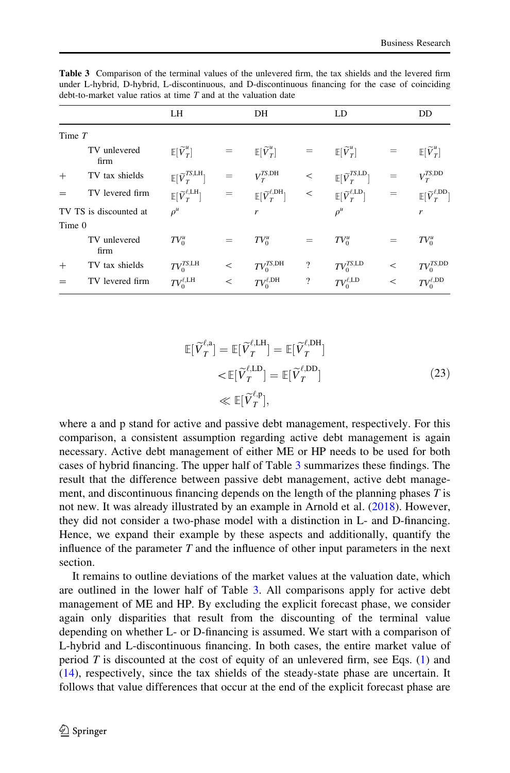|          |                        | LH                                               |                                     | DH                                               |                    | LD                                                  |       | DD                                                 |
|----------|------------------------|--------------------------------------------------|-------------------------------------|--------------------------------------------------|--------------------|-----------------------------------------------------|-------|----------------------------------------------------|
| Time $T$ |                        |                                                  |                                     |                                                  |                    |                                                     |       |                                                    |
|          | TV unlevered<br>firm   | $\mathbb{E}[\widetilde{V}_T^u]$                  | $\hspace*{0.4em} = \hspace*{0.4em}$ | $\mathbb{E}[\widetilde{V}_T^u]$                  | $=$                | $\mathbb{E}[\widetilde{V}_T^u]$                     | $=$   | $\mathbb{E}[\widetilde{V}_T^u]$                    |
| $^{+}$   | TV tax shields         | $\mathbb{E}[\widetilde{V}_{T}^{TS,\text{LH}}]$   | $=$                                 | $V_T^{TS, \rm DH}$                               | $\,<$              | $\mathbb{E}[\widetilde{V}_{T}^{TS,LD}]$             |       | $V_T^{TS,DD}$                                      |
|          | TV levered firm        | $\mathbb{E}[\widetilde{V}_{T}^{\ell,\text{LH}}]$ | $\hspace{1.6cm} = \hspace{1.6cm}$   | $\mathbb{E}[\widetilde{V}_{T}^{\ell,\text{DH}}]$ | $\,<$              | $\mathbb{E}[\widetilde{V}_{T}^{\ell, \mathrm{LD}}]$ | $=$   | $\mathbb{E}[\widetilde{V}_{T}^{\ell,\mathrm{DD}}]$ |
|          | TV TS is discounted at | $\rho^{\mu}$                                     |                                     | r                                                |                    | $\rho^{\mu}$                                        |       | r                                                  |
| Time 0   |                        |                                                  |                                     |                                                  |                    |                                                     |       |                                                    |
|          | TV unlevered<br>firm   | $TV_0^u$                                         | $\hspace*{0.4em} = \hspace*{0.4em}$ | $TV_0^u$                                         | $=$                | $TV_0^u$                                            | $=$   | $TV_0^u$                                           |
| $+$      | TV tax shields         | $TV_0^{TS, \text{LH}}$                           | $\,<\,$                             | $TV_0^{TS, \mathrm{DH}}$                         | $\overline{\cdot}$ | $TV_0^{TS,LD}$                                      | $\,<$ | $TV_0^{TS,DD}$                                     |
|          | TV levered firm        | $TV_0^{\ell, \text{LH}}$                         | $\,<$                               | $TV_0^{\ell, \text{DH}}$                         | $\overline{\cdot}$ | $TV_0^{\ell, {\rm LD}}$                             | $\,<$ | $TV_0^{\ell,DD}$                                   |

Table 3 Comparison of the terminal values of the unlevered firm, the tax shields and the levered firm under L-hybrid, D-hybrid, L-discontinuous, and D-discontinuous financing for the case of coinciding debt-to-market value ratios at time  $T$  and at the valuation date

$$
\mathbb{E}[\widetilde{V}_{T}^{\ell,a}] = \mathbb{E}[\widetilde{V}_{T}^{\ell,\text{LH}}] = \mathbb{E}[\widetilde{V}_{T}^{\ell,\text{DH}}]
$$

$$
< \mathbb{E}[\widetilde{V}_{T}^{\ell,\text{LD}}] = \mathbb{E}[\widetilde{V}_{T}^{\ell,\text{DD}}]
$$

$$
\ll \mathbb{E}[\widetilde{V}_{T}^{\ell,\text{p}}],
$$
(23)

where a and p stand for active and passive debt management, respectively. For this comparison, a consistent assumption regarding active debt management is again necessary. Active debt management of either ME or HP needs to be used for both cases of hybrid financing. The upper half of Table 3 summarizes these findings. The result that the difference between passive debt management, active debt management, and discontinuous financing depends on the length of the planning phases  $T$  is not new. It was already illustrated by an example in Arnold et al. ([2018\)](#page-23-0). However, they did not consider a two-phase model with a distinction in L- and D-financing. Hence, we expand their example by these aspects and additionally, quantify the influence of the parameter  $T$  and the influence of other input parameters in the next section.

It remains to outline deviations of the market values at the valuation date, which are outlined in the lower half of Table 3. All comparisons apply for active debt management of ME and HP. By excluding the explicit forecast phase, we consider again only disparities that result from the discounting of the terminal value depending on whether L- or D-financing is assumed. We start with a comparison of L-hybrid and L-discontinuous financing. In both cases, the entire market value of period  $T$  is discounted at the cost of equity of an unlevered firm, see Eqs. [\(1](#page-5-0)) and [\(14](#page-11-0)), respectively, since the tax shields of the steady-state phase are uncertain. It follows that value differences that occur at the end of the explicit forecast phase are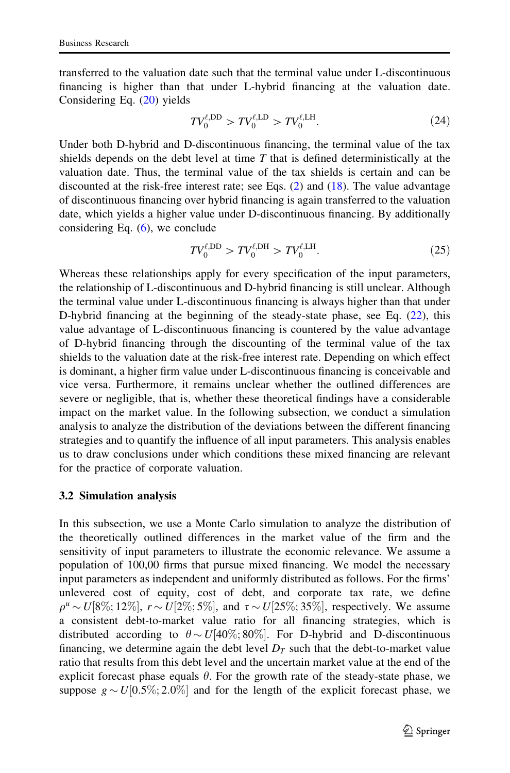transferred to the valuation date such that the terminal value under L-discontinuous financing is higher than that under L-hybrid financing at the valuation date. Considering Eq. [\(20](#page-13-0)) yields

$$
TV_0^{\ell,DD} > TV_0^{\ell,LD} > TV_0^{\ell,LM}.
$$
 (24)

Under both D-hybrid and D-discontinuous financing, the terminal value of the tax shields depends on the debt level at time  $T$  that is defined deterministically at the valuation date. Thus, the terminal value of the tax shields is certain and can be discounted at the risk-free interest rate; see Eqs. [\(2](#page-6-0)) and [\(18](#page-12-0)). The value advantage of discontinuous financing over hybrid financing is again transferred to the valuation date, which yields a higher value under D-discontinuous financing. By additionally considering Eq.  $(6)$  $(6)$ , we conclude

$$
TV_0^{\ell, \text{DD}} > TV_0^{\ell, \text{DH}} > TV_0^{\ell, \text{LH}}.
$$
 (25)

Whereas these relationships apply for every specification of the input parameters, the relationship of L-discontinuous and D-hybrid financing is still unclear. Although the terminal value under L-discontinuous financing is always higher than that under D-hybrid financing at the beginning of the steady-state phase, see Eq. ([22\)](#page-14-0), this value advantage of L-discontinuous financing is countered by the value advantage of D-hybrid financing through the discounting of the terminal value of the tax shields to the valuation date at the risk-free interest rate. Depending on which effect is dominant, a higher firm value under L-discontinuous financing is conceivable and vice versa. Furthermore, it remains unclear whether the outlined differences are severe or negligible, that is, whether these theoretical findings have a considerable impact on the market value. In the following subsection, we conduct a simulation analysis to analyze the distribution of the deviations between the different financing strategies and to quantify the influence of all input parameters. This analysis enables us to draw conclusions under which conditions these mixed financing are relevant for the practice of corporate valuation.

#### 3.2 Simulation analysis

In this subsection, we use a Monte Carlo simulation to analyze the distribution of the theoretically outlined differences in the market value of the firm and the sensitivity of input parameters to illustrate the economic relevance. We assume a population of 100,00 firms that pursue mixed financing. We model the necessary input parameters as independent and uniformly distributed as follows. For the firms' unlevered cost of equity, cost of debt, and corporate tax rate, we define  $\rho^{\mu} \sim U[8\%; 12\%], r \sim U[2\%; 5\%],$  and  $\tau \sim U[25\%; 35\%],$  respectively. We assume a consistent debt-to-market value ratio for all financing strategies, which is distributed according to  $\theta \sim U[40\%; 80\%]$ . For D-hybrid and D-discontinuous financing, we determine again the debt level  $D<sub>T</sub>$  such that the debt-to-market value ratio that results from this debt level and the uncertain market value at the end of the explicit forecast phase equals  $\theta$ . For the growth rate of the steady-state phase, we suppose  $g \sim U[0.5\%; 2.0\%]$  and for the length of the explicit forecast phase, we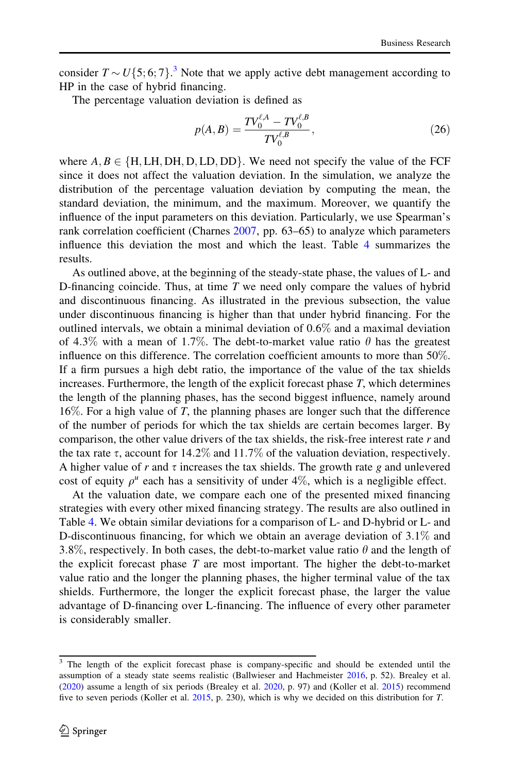consider  $T \sim U\{5, 6, 7\}$ .<sup>3</sup> Note that we apply active debt management according to HP in the case of hybrid financing.

The percentage valuation deviation is defined as

$$
p(A,B) = \frac{TV_0^{\ell,A} - TV_0^{\ell,B}}{TV_0^{\ell,B}},
$$
\n(26)

where  $A, B \in \{H, LH, DH, D, LD, DD\}$ . We need not specify the value of the FCF since it does not affect the valuation deviation. In the simulation, we analyze the distribution of the percentage valuation deviation by computing the mean, the standard deviation, the minimum, and the maximum. Moreover, we quantify the influence of the input parameters on this deviation. Particularly, we use Spearman's rank correlation coefficient (Charnes [2007](#page-23-0), pp. 63–65) to analyze which parameters influence this deviation the most and which the least. Table [4](#page-18-0) summarizes the results.

As outlined above, at the beginning of the steady-state phase, the values of L- and D-financing coincide. Thus, at time  $T$  we need only compare the values of hybrid and discontinuous financing. As illustrated in the previous subsection, the value under discontinuous financing is higher than that under hybrid financing. For the outlined intervals, we obtain a minimal deviation of  $0.6\%$  and a maximal deviation of 4.3% with a mean of 1.7%. The debt-to-market value ratio  $\theta$  has the greatest influence on this difference. The correlation coefficient amounts to more than 50%. If a firm pursues a high debt ratio, the importance of the value of the tax shields increases. Furthermore, the length of the explicit forecast phase  $T$ , which determines the length of the planning phases, has the second biggest influence, namely around 16%. For a high value of T, the planning phases are longer such that the difference of the number of periods for which the tax shields are certain becomes larger. By comparison, the other value drivers of the tax shields, the risk-free interest rate  $r$  and the tax rate  $\tau$ , account for 14.2% and 11.7% of the valuation deviation, respectively. A higher value of r and  $\tau$  increases the tax shields. The growth rate g and unlevered cost of equity  $\rho^u$  each has a sensitivity of under 4%, which is a negligible effect.

At the valuation date, we compare each one of the presented mixed financing strategies with every other mixed financing strategy. The results are also outlined in Table [4](#page-18-0). We obtain similar deviations for a comparison of L- and D-hybrid or L- and D-discontinuous financing, for which we obtain an average deviation of  $3.1\%$  and 3.8%, respectively. In both cases, the debt-to-market value ratio  $\theta$  and the length of the explicit forecast phase  $T$  are most important. The higher the debt-to-market value ratio and the longer the planning phases, the higher terminal value of the tax shields. Furthermore, the longer the explicit forecast phase, the larger the value advantage of D-financing over L-financing. The influence of every other parameter is considerably smaller.

<sup>&</sup>lt;sup>3</sup> The length of the explicit forecast phase is company-specific and should be extended until the assumption of a steady state seems realistic (Ballwieser and Hachmeister [2016,](#page-23-0) p. 52). Brealey et al. ([2020\)](#page-23-0) assume a length of six periods (Brealey et al. [2020](#page-23-0), p. 97) and (Koller et al. [2015](#page-23-0)) recommend five to seven periods (Koller et al. [2015,](#page-23-0) p. 230), which is why we decided on this distribution for T.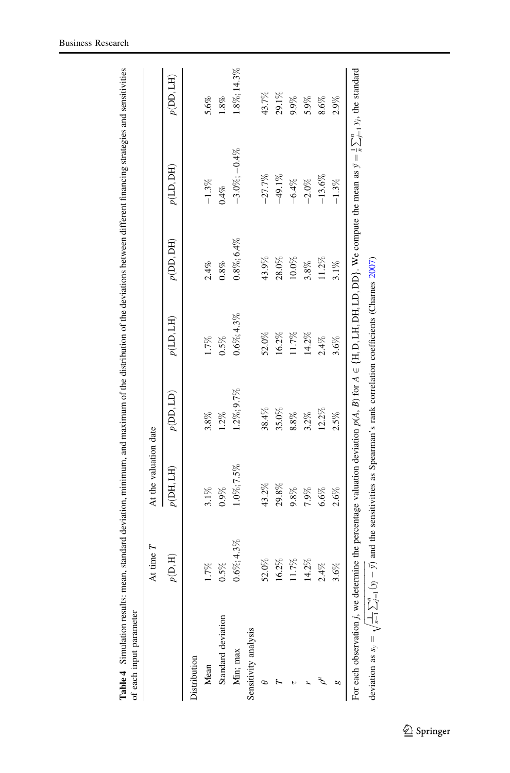<span id="page-18-0"></span>

|                      | At time T                   | At the valuation date |                |                |                |                  |             |
|----------------------|-----------------------------|-----------------------|----------------|----------------|----------------|------------------|-------------|
|                      | $p(\mathbf{D}, \mathbf{H})$ | p(DH, LH)             | p(DD,LD)       | p(LD, LH)      | p(DD, DH)      | p(LD, DH)        | p(DD, LH)   |
| Distribution         |                             |                       |                |                |                |                  |             |
| Mean                 | 1.7%                        | 3.1%                  | 3.8%           | 1.7%           | 2.4%           | $-1.3%$          | 5.6%        |
| Standard deviation   | $0.5\%$                     | 0.9%                  | 1.2%           | $0.5\%$        | $0.8\%$        | 0.4%             | 1.8%        |
| Min; max             | $0.6\%; 4.3\%$              | $1.0\%; 7.5\%$        | $1.2\%$ ; 9.7% | $0.6\%; 4.3\%$ | $0.8\%$ ; 6.4% | $-3.0\%; -0.4\%$ | 1.8%; 14.3% |
| Sensitivity analysis |                             |                       |                |                |                |                  |             |
|                      | 52.0%                       | 43.2%                 | 38.4%          | 52.0%          | 43.9%          | $-27.7%$         | 43.7%       |
|                      | 16.2%                       | 29.8%                 | 35.0%          | 16.2%          | 28.0%          | $-49.1\%$        | 29.1%       |
|                      | 11.7%                       | $9.8\%$               | $8.8\%$        | 11.7%          | 10.0%          | $-6.4\%$         | 9.9%        |
|                      | $14.2\%$                    | 7.9%                  | 3.2%           | 14.2%          | $3.8\%$        | $-2.0\%$         | 5.9%        |
|                      | 2.4%                        | 6.6%                  | $12.2\%$       | 2.4%           | 11.2%          | $-13.6\%$        | 8.6%        |
|                      | 3.6%                        | 2.6%                  | 2.5%           | 3.6%           | $3.1\%$        | $-1.3%$          | 2.9%        |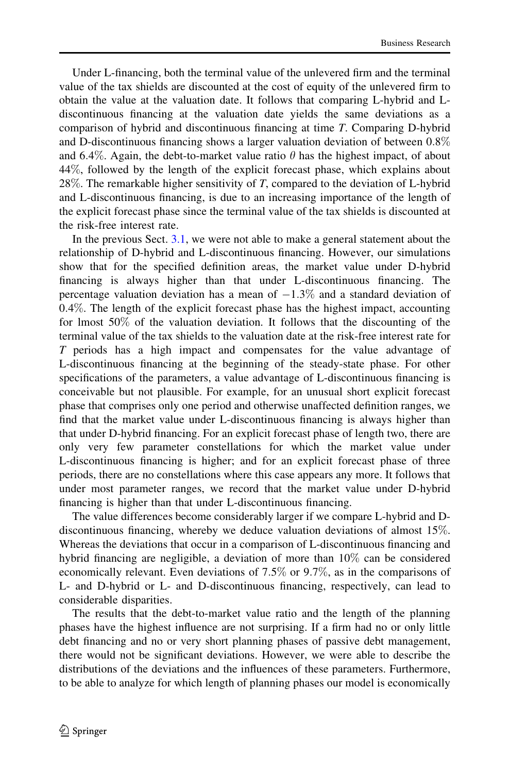Under L-financing, both the terminal value of the unlevered firm and the terminal value of the tax shields are discounted at the cost of equity of the unlevered firm to obtain the value at the valuation date. It follows that comparing L-hybrid and Ldiscontinuous financing at the valuation date yields the same deviations as a comparison of hybrid and discontinuous financing at time T. Comparing D-hybrid and D-discontinuous financing shows a larger valuation deviation of between 0:8% and 6.4%. Again, the debt-to-market value ratio  $\theta$  has the highest impact, of about 44%, followed by the length of the explicit forecast phase, which explains about 28%. The remarkable higher sensitivity of T, compared to the deviation of L-hybrid and L-discontinuous financing, is due to an increasing importance of the length of the explicit forecast phase since the terminal value of the tax shields is discounted at the risk-free interest rate.

In the previous Sect. [3.1](#page-13-0), we were not able to make a general statement about the relationship of D-hybrid and L-discontinuous financing. However, our simulations show that for the specified definition areas, the market value under D-hybrid financing is always higher than that under L-discontinuous financing. The percentage valuation deviation has a mean of  $-1.3\%$  and a standard deviation of  $0.4\%$ . The length of the explicit forecast phase has the highest impact, accounting for lmost 50% of the valuation deviation. It follows that the discounting of the terminal value of the tax shields to the valuation date at the risk-free interest rate for T periods has a high impact and compensates for the value advantage of L-discontinuous financing at the beginning of the steady-state phase. For other specifications of the parameters, a value advantage of L-discontinuous financing is conceivable but not plausible. For example, for an unusual short explicit forecast phase that comprises only one period and otherwise unaffected definition ranges, we find that the market value under L-discontinuous financing is always higher than that under D-hybrid financing. For an explicit forecast phase of length two, there are only very few parameter constellations for which the market value under L-discontinuous financing is higher; and for an explicit forecast phase of three periods, there are no constellations where this case appears any more. It follows that under most parameter ranges, we record that the market value under D-hybrid financing is higher than that under L-discontinuous financing.

The value differences become considerably larger if we compare L-hybrid and Ddiscontinuous financing, whereby we deduce valuation deviations of almost 15%. Whereas the deviations that occur in a comparison of L-discontinuous financing and hybrid financing are negligible, a deviation of more than 10% can be considered economically relevant. Even deviations of 7:5% or 9:7%, as in the comparisons of L- and D-hybrid or L- and D-discontinuous financing, respectively, can lead to considerable disparities.

The results that the debt-to-market value ratio and the length of the planning phases have the highest influence are not surprising. If a firm had no or only little debt financing and no or very short planning phases of passive debt management, there would not be significant deviations. However, we were able to describe the distributions of the deviations and the influences of these parameters. Furthermore, to be able to analyze for which length of planning phases our model is economically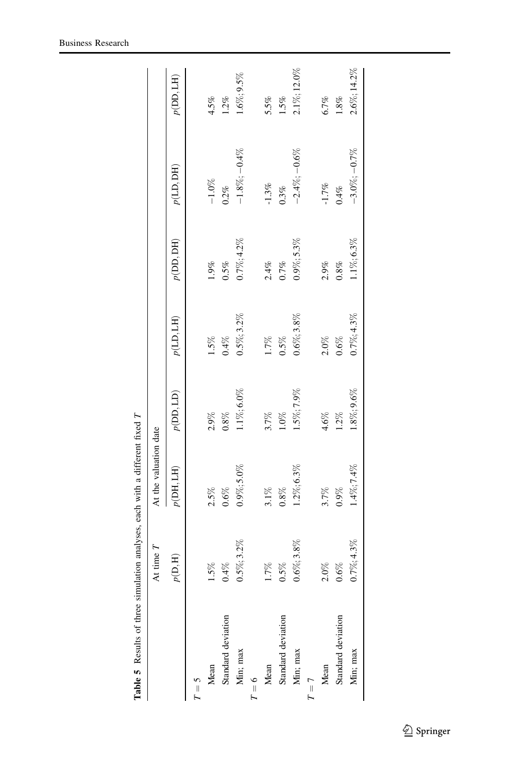<span id="page-20-0"></span>

|                    | At time T      | At the valuation date |                |                |                |                     |                    |
|--------------------|----------------|-----------------------|----------------|----------------|----------------|---------------------|--------------------|
|                    | p(D, H)        | p(DH, LH)             | p(DD,LD)       | p(LD, LH)      | p(DD, DH)      | p(LD, DH)           | p(DD, LH)          |
| $\zeta = 1$        |                |                       |                |                |                |                     |                    |
| Mean               | $1.5\%$        | 2.5%                  | 2.9%           | $1.5\%$        | $1.9\%$        | $-1.0\%$            | 4.5%               |
| Standard deviation | 0.4%           | 0.6%                  | 0.8%           | $0.4\%$        | 0.5%           | $0.2\%$             | $1.2\%$            |
| Min; max           | $0.5\%$ : 3.2% | $0.9\%$ : 5.0%        | 1.1%:6.0%      | $0.5\%; 3.2\%$ | $0.7\%$ : 4.2% | $-1.8\%$ ; $-0.4\%$ | $1.6\%$ ; 9.5%     |
| $r = 6$            |                |                       |                |                |                |                     |                    |
| Mean               | 1.7%           | $3.1\%$               | 3.7%           | 1.7%           | 2.4%           | $-1.3%$             | 5.5%               |
| Standard deviation | $0.5\%$        | $0.8\%$               | $1.0\%$        | 0.5%           | 0.7%           | 0.3%                | 1.5%               |
| Min; max           | $0.6\%$ : 3.8% | $1.2\%$ : 6.3%        | $1.5\%$ ; 7.9% | $0.6\%$ : 3.8% | $0.9\%$ : 5.3% | $-2.4\%$ ; $-0.6\%$ | $2.1\%$ ; $12.0\%$ |
| $T=7$              |                |                       |                |                |                |                     |                    |
| Mean               | 2.0%           | 3.7%                  | 4.6%           | 2.0%           | 2.9%           | $-1.7%$             | 6.7%               |
| Standard deviation | 0.6%           | $0.9\%$               | $1.2\%$        | $0.6\%$        | $0.8\%$        | 0.4%                | $1.8\%$            |
| Min; max           | $0.7\%$ : 4.3% | 1.4%; 7.4%            | $1.8\%;9.6\%$  | $0.7\%$ ; 4.3% | 1.1%;6.3%      | $-3.0\%$ ; $-0.7\%$ | 2.6%; 14.2%        |
|                    |                |                       |                |                |                |                     |                    |

| i                                                                                                                                                                                                                                         |
|-------------------------------------------------------------------------------------------------------------------------------------------------------------------------------------------------------------------------------------------|
| ֖֖֖֖֖֧ׅ֖֖֧֪֪ׅ֪֪֪֧֪֪֪ׅ֧֚֚֚֚֚֚֚֚֚֚֚֚֚֚֚֚֚֚֚֚֚֚֚֚֚֚֚֚֚֚֚֬֝֝֓֞֓֞֝                                                                                                                                                                             |
| ı<br>١<br>l<br>í<br>ì<br>۱                                                                                                                                                                                                                |
|                                                                                                                                                                                                                                           |
|                                                                                                                                                                                                                                           |
| l                                                                                                                                                                                                                                         |
| ֧֢֛֚֚֓֕֜<br>is a contract of the contract of the contract of the contract of the contract of the contract of the contract of the contract of the contract of the contract of the contract of the contract of the contract of the contract |
| l<br>l<br>l<br>ı<br>í                                                                                                                                                                                                                     |
| I<br>$\overline{\phantom{a}}$                                                                                                                                                                                                             |
| ł                                                                                                                                                                                                                                         |
| j<br>١                                                                                                                                                                                                                                    |
| l                                                                                                                                                                                                                                         |
|                                                                                                                                                                                                                                           |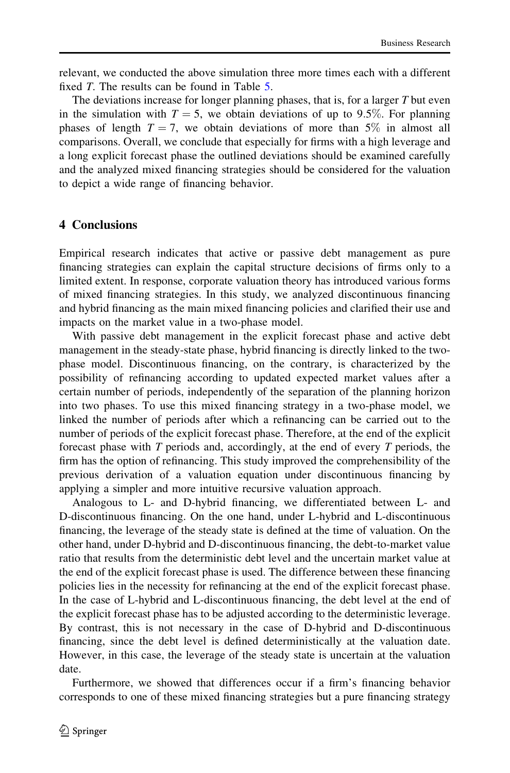relevant, we conducted the above simulation three more times each with a different fixed T. The results can be found in Table [5.](#page-20-0)

The deviations increase for longer planning phases, that is, for a larger  $T$  but even in the simulation with  $T = 5$ , we obtain deviations of up to 9.5%. For planning phases of length  $T = 7$ , we obtain deviations of more than 5% in almost all comparisons. Overall, we conclude that especially for firms with a high leverage and a long explicit forecast phase the outlined deviations should be examined carefully and the analyzed mixed financing strategies should be considered for the valuation to depict a wide range of financing behavior.

## 4 Conclusions

Empirical research indicates that active or passive debt management as pure financing strategies can explain the capital structure decisions of firms only to a limited extent. In response, corporate valuation theory has introduced various forms of mixed financing strategies. In this study, we analyzed discontinuous financing and hybrid financing as the main mixed financing policies and clarified their use and impacts on the market value in a two-phase model.

With passive debt management in the explicit forecast phase and active debt management in the steady-state phase, hybrid financing is directly linked to the twophase model. Discontinuous financing, on the contrary, is characterized by the possibility of refinancing according to updated expected market values after a certain number of periods, independently of the separation of the planning horizon into two phases. To use this mixed financing strategy in a two-phase model, we linked the number of periods after which a refinancing can be carried out to the number of periods of the explicit forecast phase. Therefore, at the end of the explicit forecast phase with  $T$  periods and, accordingly, at the end of every  $T$  periods, the firm has the option of refinancing. This study improved the comprehensibility of the previous derivation of a valuation equation under discontinuous financing by applying a simpler and more intuitive recursive valuation approach.

Analogous to L- and D-hybrid financing, we differentiated between L- and D-discontinuous financing. On the one hand, under L-hybrid and L-discontinuous financing, the leverage of the steady state is defined at the time of valuation. On the other hand, under D-hybrid and D-discontinuous financing, the debt-to-market value ratio that results from the deterministic debt level and the uncertain market value at the end of the explicit forecast phase is used. The difference between these financing policies lies in the necessity for refinancing at the end of the explicit forecast phase. In the case of L-hybrid and L-discontinuous financing, the debt level at the end of the explicit forecast phase has to be adjusted according to the deterministic leverage. By contrast, this is not necessary in the case of D-hybrid and D-discontinuous financing, since the debt level is defined deterministically at the valuation date. However, in this case, the leverage of the steady state is uncertain at the valuation date.

Furthermore, we showed that differences occur if a firm's financing behavior corresponds to one of these mixed financing strategies but a pure financing strategy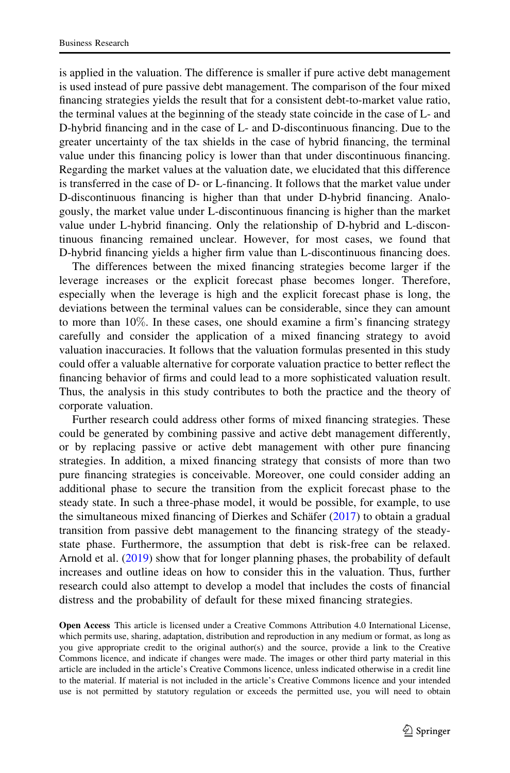is applied in the valuation. The difference is smaller if pure active debt management is used instead of pure passive debt management. The comparison of the four mixed financing strategies yields the result that for a consistent debt-to-market value ratio, the terminal values at the beginning of the steady state coincide in the case of L- and D-hybrid financing and in the case of L- and D-discontinuous financing. Due to the greater uncertainty of the tax shields in the case of hybrid financing, the terminal value under this financing policy is lower than that under discontinuous financing. Regarding the market values at the valuation date, we elucidated that this difference is transferred in the case of D- or L-financing. It follows that the market value under D-discontinuous financing is higher than that under D-hybrid financing. Analogously, the market value under L-discontinuous financing is higher than the market value under L-hybrid financing. Only the relationship of D-hybrid and L-discontinuous financing remained unclear. However, for most cases, we found that D-hybrid financing yields a higher firm value than L-discontinuous financing does.

The differences between the mixed financing strategies become larger if the leverage increases or the explicit forecast phase becomes longer. Therefore, especially when the leverage is high and the explicit forecast phase is long, the deviations between the terminal values can be considerable, since they can amount to more than 10%. In these cases, one should examine a firm's financing strategy carefully and consider the application of a mixed financing strategy to avoid valuation inaccuracies. It follows that the valuation formulas presented in this study could offer a valuable alternative for corporate valuation practice to better reflect the financing behavior of firms and could lead to a more sophisticated valuation result. Thus, the analysis in this study contributes to both the practice and the theory of corporate valuation.

Further research could address other forms of mixed financing strategies. These could be generated by combining passive and active debt management differently, or by replacing passive or active debt management with other pure financing strategies. In addition, a mixed financing strategy that consists of more than two pure financing strategies is conceivable. Moreover, one could consider adding an additional phase to secure the transition from the explicit forecast phase to the steady state. In such a three-phase model, it would be possible, for example, to use the simultaneous mixed financing of Dierkes and Schäfer  $(2017)$  $(2017)$  to obtain a gradual transition from passive debt management to the financing strategy of the steadystate phase. Furthermore, the assumption that debt is risk-free can be relaxed. Arnold et al. [\(2019](#page-23-0)) show that for longer planning phases, the probability of default increases and outline ideas on how to consider this in the valuation. Thus, further research could also attempt to develop a model that includes the costs of financial distress and the probability of default for these mixed financing strategies.

Open Access This article is licensed under a Creative Commons Attribution 4.0 International License, which permits use, sharing, adaptation, distribution and reproduction in any medium or format, as long as you give appropriate credit to the original author(s) and the source, provide a link to the Creative Commons licence, and indicate if changes were made. The images or other third party material in this article are included in the article's Creative Commons licence, unless indicated otherwise in a credit line to the material. If material is not included in the article's Creative Commons licence and your intended use is not permitted by statutory regulation or exceeds the permitted use, you will need to obtain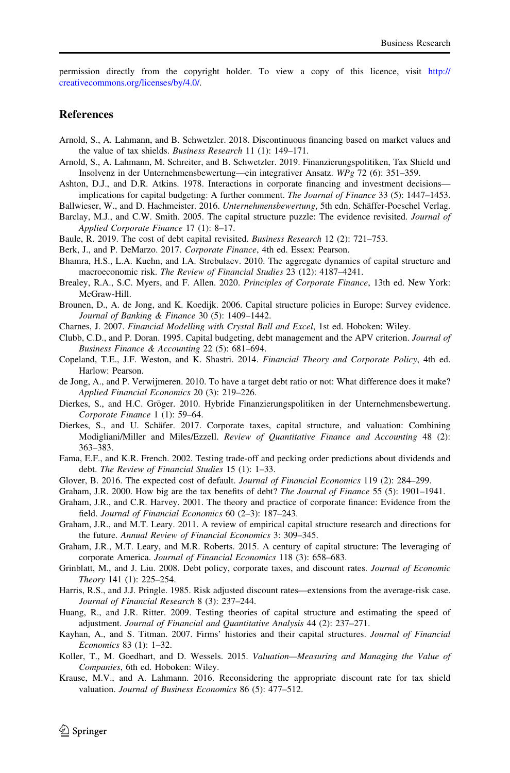<span id="page-23-0"></span>permission directly from the copyright holder. To view a copy of this licence, visit [http://](http://creativecommons.org/licenses/by/4.0/) [creativecommons.org/licenses/by/4.0/.](http://creativecommons.org/licenses/by/4.0/)

### **References**

- Arnold, S., A. Lahmann, and B. Schwetzler. 2018. Discontinuous financing based on market values and the value of tax shields. Business Research 11 (1): 149–171.
- Arnold, S., A. Lahmann, M. Schreiter, and B. Schwetzler. 2019. Finanzierungspolitiken, Tax Shield und Insolvenz in der Unternehmensbewertung—ein integrativer Ansatz. WPg 72 (6): 351–359.
- Ashton, D.J., and D.R. Atkins. 1978. Interactions in corporate financing and investment decisions implications for capital budgeting: A further comment. The Journal of Finance 33 (5): 1447–1453.

Ballwieser, W., and D. Hachmeister. 2016. Unternehmensbewertung, 5th edn. Schäffer-Poeschel Verlag. Barclay, M.J., and C.W. Smith. 2005. The capital structure puzzle: The evidence revisited. Journal of

- Applied Corporate Finance 17 (1): 8–17.
- Baule, R. 2019. The cost of debt capital revisited. Business Research 12 (2): 721–753.
- Berk, J., and P. DeMarzo. 2017. Corporate Finance, 4th ed. Essex: Pearson.
- Bhamra, H.S., L.A. Kuehn, and I.A. Strebulaev. 2010. The aggregate dynamics of capital structure and macroeconomic risk. The Review of Financial Studies 23 (12): 4187–4241.
- Brealey, R.A., S.C. Myers, and F. Allen. 2020. Principles of Corporate Finance, 13th ed. New York: McGraw-Hill.
- Brounen, D., A. de Jong, and K. Koedijk. 2006. Capital structure policies in Europe: Survey evidence. Journal of Banking & Finance 30 (5): 1409–1442.
- Charnes, J. 2007. Financial Modelling with Crystal Ball and Excel, 1st ed. Hoboken: Wiley.
- Clubb, C.D., and P. Doran. 1995. Capital budgeting, debt management and the APV criterion. Journal of Business Finance & Accounting 22 (5): 681–694.
- Copeland, T.E., J.F. Weston, and K. Shastri. 2014. Financial Theory and Corporate Policy, 4th ed. Harlow: Pearson.
- de Jong, A., and P. Verwijmeren. 2010. To have a target debt ratio or not: What difference does it make? Applied Financial Economics 20 (3): 219–226.
- Dierkes, S., and H.C. Gröger. 2010. Hybride Finanzierungspolitiken in der Unternehmensbewertung. Corporate Finance 1 (1): 59–64.
- Dierkes, S., and U. Schäfer. 2017. Corporate taxes, capital structure, and valuation: Combining Modigliani/Miller and Miles/Ezzell. Review of Quantitative Finance and Accounting 48 (2): 363–383.
- Fama, E.F., and K.R. French. 2002. Testing trade-off and pecking order predictions about dividends and debt. The Review of Financial Studies 15 (1): 1–33.
- Glover, B. 2016. The expected cost of default. Journal of Financial Economics 119 (2): 284–299.
- Graham, J.R. 2000. How big are the tax benefits of debt? The Journal of Finance 55 (5): 1901–1941.
- Graham, J.R., and C.R. Harvey. 2001. The theory and practice of corporate finance: Evidence from the field. Journal of Financial Economics 60 (2–3): 187–243.
- Graham, J.R., and M.T. Leary. 2011. A review of empirical capital structure research and directions for the future. Annual Review of Financial Economics 3: 309–345.
- Graham, J.R., M.T. Leary, and M.R. Roberts. 2015. A century of capital structure: The leveraging of corporate America. Journal of Financial Economics 118 (3): 658–683.
- Grinblatt, M., and J. Liu. 2008. Debt policy, corporate taxes, and discount rates. Journal of Economic Theory 141 (1): 225–254.
- Harris, R.S., and J.J. Pringle. 1985. Risk adjusted discount rates—extensions from the average-risk case. Journal of Financial Research 8 (3): 237–244.

Huang, R., and J.R. Ritter. 2009. Testing theories of capital structure and estimating the speed of adjustment. Journal of Financial and Quantitative Analysis 44 (2): 237–271.

- Kayhan, A., and S. Titman. 2007. Firms' histories and their capital structures. Journal of Financial Economics 83 (1): 1–32.
- Koller, T., M. Goedhart, and D. Wessels. 2015. Valuation—Measuring and Managing the Value of Companies, 6th ed. Hoboken: Wiley.
- Krause, M.V., and A. Lahmann. 2016. Reconsidering the appropriate discount rate for tax shield valuation. Journal of Business Economics 86 (5): 477–512.